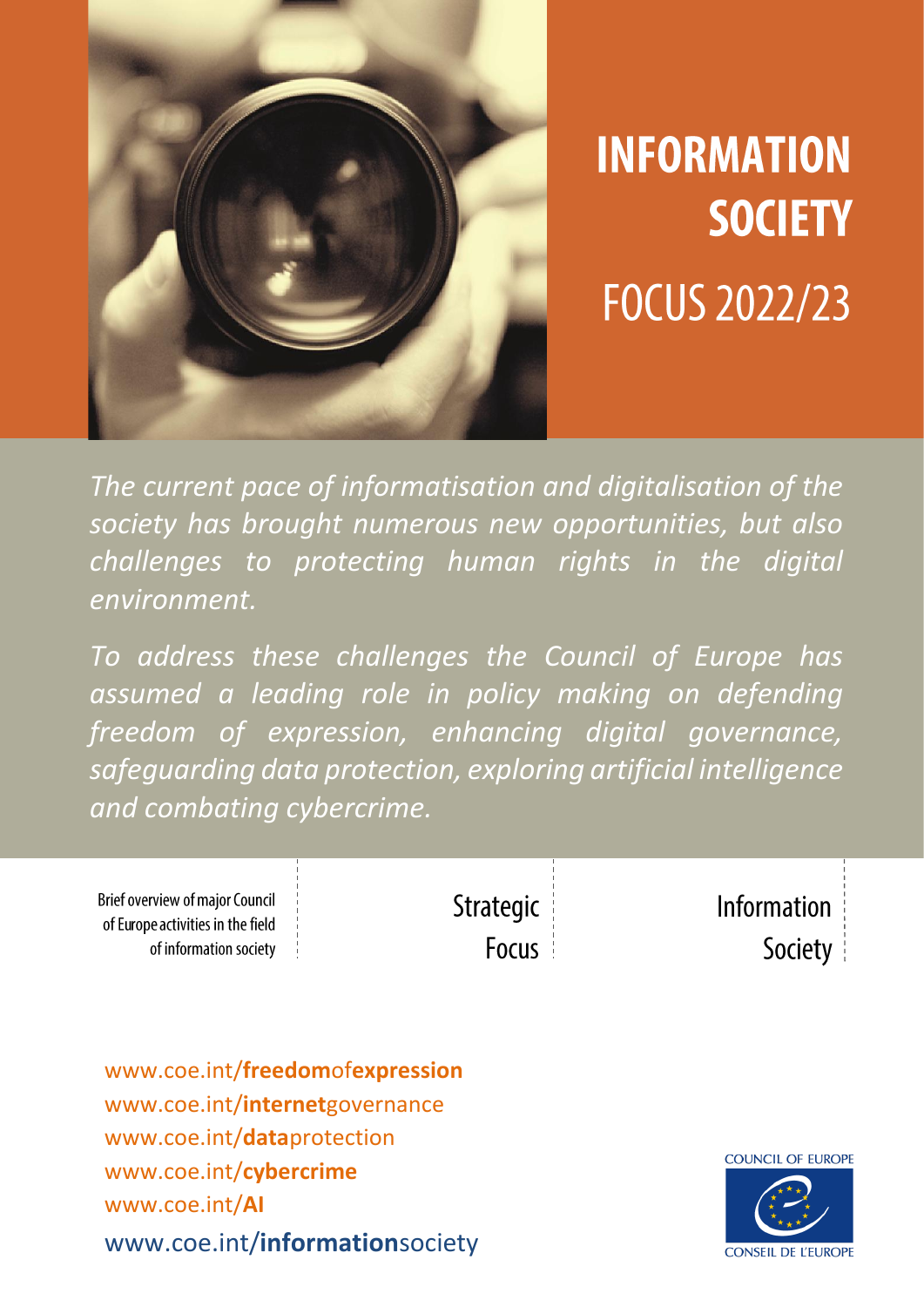

# **INFORMATION SOCIETY FOCUS 2022/23**

*The current pace of informatisation and digitalisation of the society has brought numerous new opportunities, but also challenges to protecting human rights in the digital environment.* 

*To address these challenges the Council of Europe has assumed a leading role in policy making on defending freedom of expression, enhancing digital governance, safeguarding data protection, exploring artificial intelligence and combating cybercrime.*

| <b>Brief overview of major Council</b> | Strategic | Information |
|----------------------------------------|-----------|-------------|
| of Europe activities in the field      |           |             |
| of information society                 | Focus     | Society     |

[www.coe.int/](http://www.coe.int/freedomofexpression)**freedom**of**expression** www.coe.int/**internet**governance www.coe.int/**data**protection www.coe.int/**cybercrime** www.coe.int/**AI** www.coe.int/**information**society